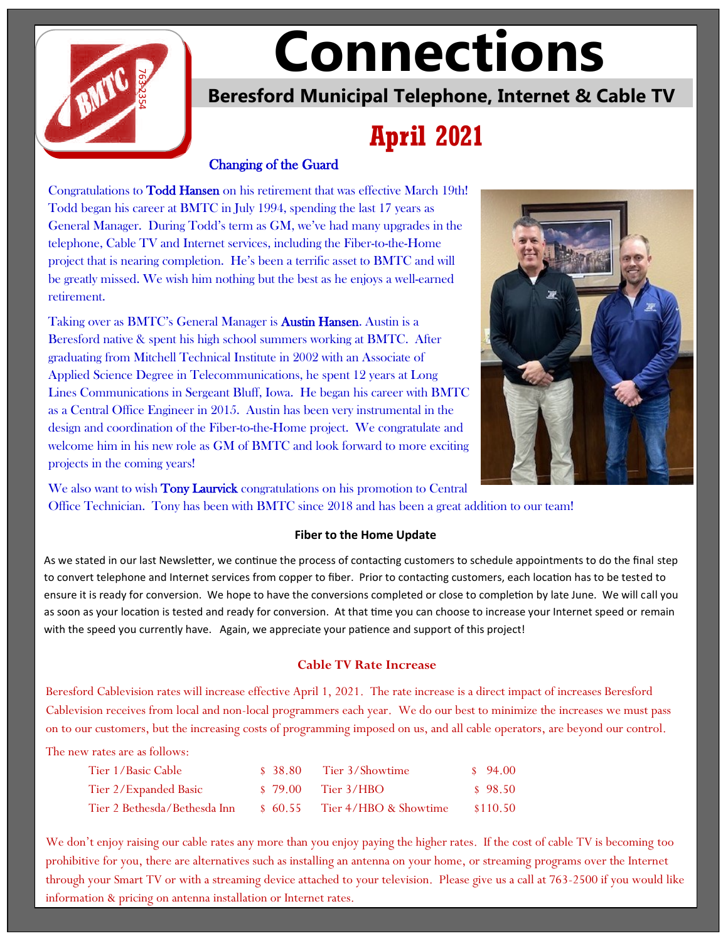

# **Connections**

**Beresford Municipal Telephone, Internet & Cable TV**

# **April 2021**

### Changing of the Guard

Congratulations to Todd Hansen on his retirement that was effective March 19th! Todd began his career at BMTC in July 1994, spending the last 17 years as General Manager. During Todd's term as GM, we've had many upgrades in the telephone, Cable TV and Internet services, including the Fiber-to-the-Home project that is nearing completion. He's been a terrific asset to BMTC and will be greatly missed. We wish him nothing but the best as he enjoys a well-earned retirement.

Taking over as BMTC's General Manager is **Austin Hansen**. Austin is a Beresford native & spent his high school summers working at BMTC. After graduating from Mitchell Technical Institute in 2002 with an Associate of Applied Science Degree in Telecommunications, he spent 12 years at Long Lines Communications in Sergeant Bluff, Iowa. He began his career with BMTC as a Central Office Engineer in 2015. Austin has been very instrumental in the design and coordination of the Fiber-to-the-Home project. We congratulate and welcome him in his new role as GM of BMTC and look forward to more exciting projects in the coming years! **EXECTS ADMOND THE SPEED WANTER CONSTRANT CONSTRANT CONSTRANT CONSTRANT CONSTRANT CONSTRANT CONSTRANT CONSTRANT CONSTRANT CONSTRANT CONSTRANT CONSTRANT CONSTRANT CONSTRANT CONSTRANT CONSTRANT CONSTRANT CONSTRANT CONSTRANT** 



We also want to wish **Tony Laurvick** congratulations on his promotion to Central Office Technician. Tony has been with BMTC since 2018 and has been a great addition to our team!

#### **Fiber to the Home Update**

As we stated in our last Newsletter, we continue the process of contacting customers to schedule appointments to do the final step to convert telephone and Internet services from copper to fiber. Prior to contacting customers, each location has to be tested to ensure it is ready for conversion. We hope to have the conversions completed or close to completion by late June. We will call you as soon as your location is tested and ready for conversion. At that time you can choose to increase your Internet speed or remain

#### **Cable TV Rate Increase**

Beresford Cablevision rates will increase effective April 1, 2021. The rate increase is a direct impact of increases Beresford Cablevision receives from local and non-local programmers each year. We do our best to minimize the increases we must pass on to our customers, but the increasing costs of programming imposed on us, and all cable operators, are beyond our control.

The new rates are as follows:

| Tier 1/Basic Cable           | \$ 38.80 | Tier 3/Showtime       | $\frac{1}{2}$ 94.00 |
|------------------------------|----------|-----------------------|---------------------|
| Tier 2/Expanded Basic        |          | $$79.00$ Tier 3/HBO   | \$98.50             |
| Tier 2 Bethesda/Bethesda Inn | \$60.55  | Tier 4/HBO & Showtime | \$110.50            |

We don't enjoy raising our cable rates any more than you enjoy paying the higher rates. If the cost of cable TV is becoming too prohibitive for you, there are alternatives such as installing an antenna on your home, or streaming programs over the Internet through your Smart TV or with a streaming device attached to your television. Please give us a call at 763-2500 if you would like information & pricing on antenna installation or Internet rates.